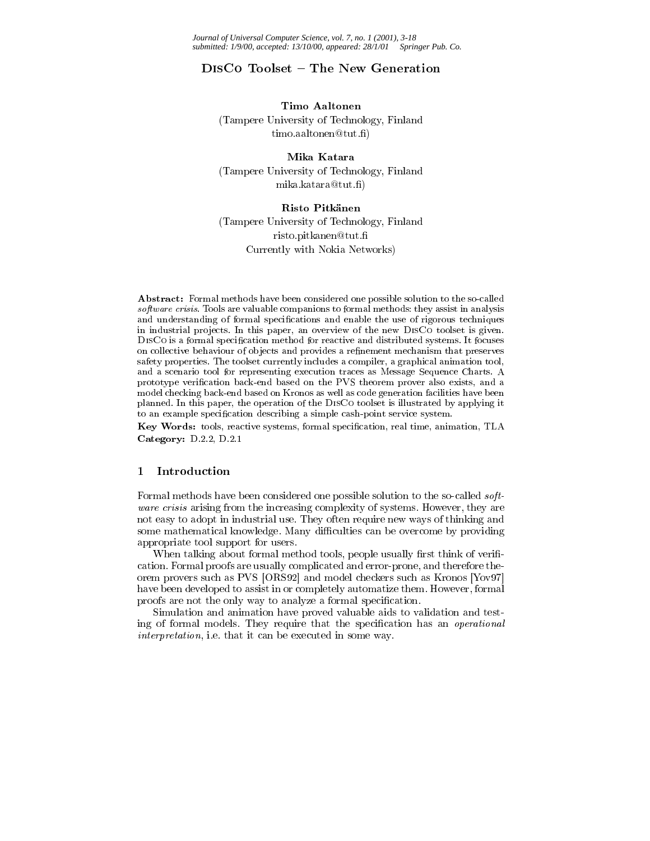*Journal of Universal Computer Science, vol. 7, no. 1 (2001), 3-18 submitted: 1/9/00, accepted: 13/10/00, appeared: 28/1/01 Springer Pub. Co.*

# DISCO Toolset - The New Generation

#### Timo Aaltonen

(Tampere University of Technology, Finland timo.aaltonen@tut.fi)

# Mika Katara

(Tampere University of Technology, Finland mika.katara@tut.fi)

## Risto Pitkänen

(Tampere University of Technology, Finland risto.pitkanen@tut. Currently with Nokia Networks)

Abstract: Formal methods have been considered one possible solution to the so-called software crisis. Tools are valuable companions to formal methods: they assist in analysis and understanding of formal specifications and enable the use of rigorous techniques in industrial projects. In this paper, an overview of the new DISCo toolset is given. DISCo is a formal specification method for reactive and distributed systems. It focuses on collective behaviour of objects and provides a refinement mechanism that preserves safety properties. The toolset currently includes a compiler, a graphical animation tool, and a scenario tool for representing execution traces as Message Sequence Charts. A prototype verification back-end based on the PVS theorem prover also exists, and a model checking back-end based on Kronos as well as code generation facilities have been planned. In this paper, the operation of the DisCo toolset is illustrated by applying it to an example specification describing a simple cash-point service system.

Key Words: tools, reactive systems, formal specification, real time, animation, TLA Category: D.2.2, D.2.1

#### $\mathbf{1}$ **Introduction**

Formal methods have been considered one possible solution to the so-called software crisis arising from the increasing complexity of systems. However, they are not easy to adopt in industrial use. They often require new ways of thinking and some mathematical knowledge. Many difficulties can be overcome by providing appropriate tool support for users.

When talking about formal method tools, people usually first think of verification. Formal proofs are usually complicated and error-prone, and therefore theorem provers such as PVS [ORS92] and model checkers such as Kronos [Yov97] have been developed to assist in or completely automatize them. However, formal proofs are not the only way to analyze a formal specification.

Simulation and animation have proved valuable aids to validation and testing of formal models. They require that the specification has an *operational* interpretation, i.e. that it can be executed in some way.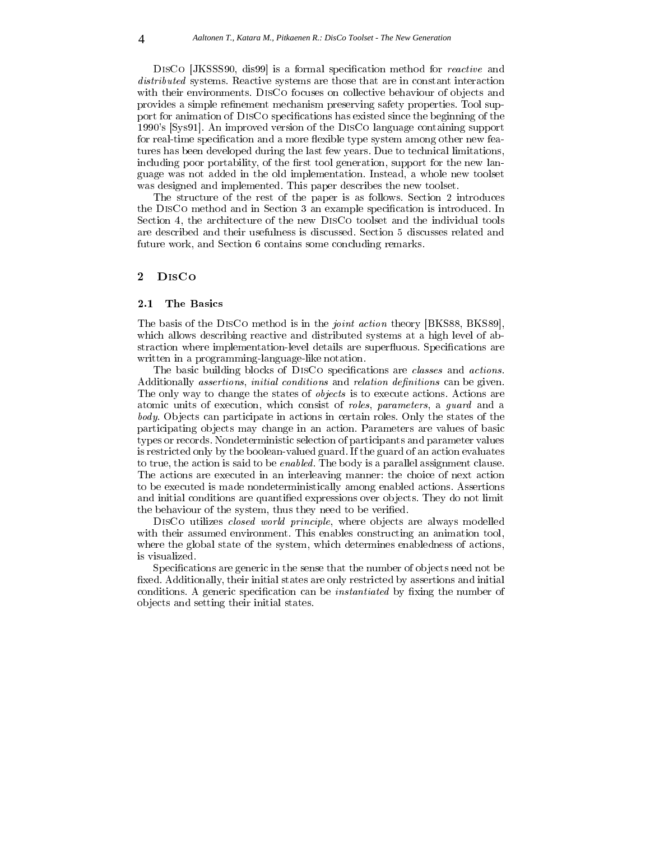DISCO [JKSSS90, dis99] is a formal specification method for *reactive* and distributed systems. Reactive systems are those that are in constant interaction with their environments. DISCO focuses on collective behaviour of objects and provides a simple refinement mechanism preserving safety properties. Tool support for animation of DISCo specifications has existed since the beginning of the 1990's [Sys91]. An improved version of the DisCo language containing support for real-time specification and a more flexible type system among other new features has been developed during the last few years. Due to technical limitations, including poor portability, of the first tool generation, support for the new language was not added in the old implementation. Instead, a whole new toolset was designed and implemented. This paper describes the new toolset.

The structure of the rest of the paper is as follows. Section 2 introduces the DISCO method and in Section 3 an example specification is introduced. In Section 4, the architecture of the new DisCo toolset and the individual tools are described and their usefulness is discussed. Section 5 discusses related and future work, and Section 6 contains some concluding remarks.

## 2.1 The Basics

The basis of the DISCo method is in the *joint action* theory [BKS88, BKS89], which allows describing reactive and distributed systems at a high level of abstraction where implementation-level details are superfluous. Specifications are written in a programming-language-like notation.

The basic building blocks of DISCO specifications are *classes* and *actions*. Additionally *assertions*, *initial conditions* and *relation definitions* can be given. The only way to change the states of objects is to execute actions. Actions are atomic units of execution, which consist of roles, parameters, a guard and a body. Objects can participate in actions in certain roles. Only the states of the participating ob jects may change in an action. Parameters are values of basic types or records. Nondeterministic selection of participants and parameter values is restricted only by the boolean-valued guard. If the guard of an action evaluates to true, the action is said to be enabled. The body is a parallel assignment clause. The actions are executed in an interleaving manner: the choice of next action to be executed is made nondeterministically among enabled actions. Assertions and initial conditions are quantified expressions over objects. They do not limit the behaviour of the system, thus they need to be verified.

DISCO utilizes *closed world principle*, where objects are always modelled with their assumed environment. This enables constructing an animation tool, where the global state of the system, which determines enabledness of actions, is visualized.

Specifications are generic in the sense that the number of objects need not be fixed. Additionally, their initial states are only restricted by assertions and initial conditions. A generic specification can be *instantiated* by fixing the number of ob jects and setting their initial states.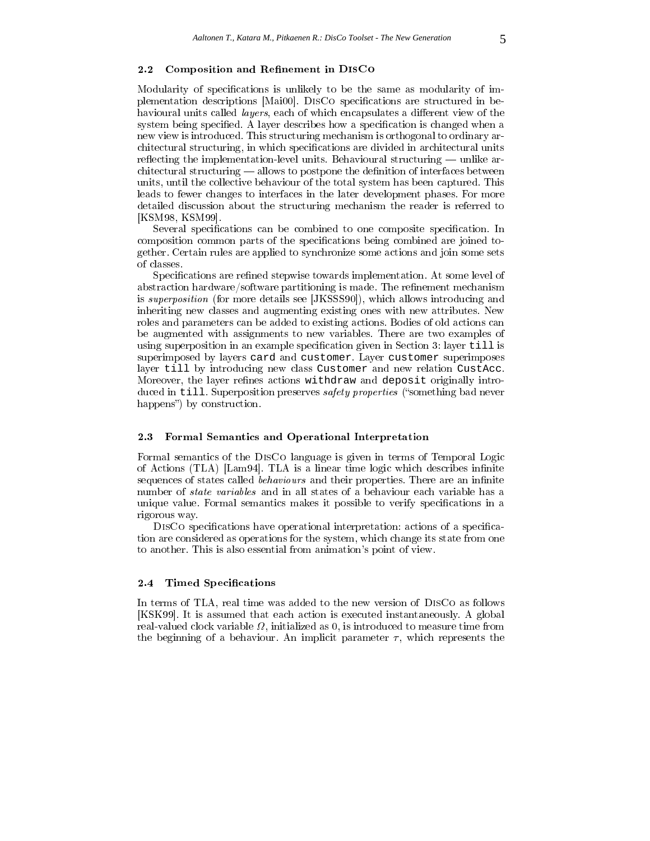#### $2.2$ Composition and Refinement in DISCO

Modularity of specifications is unlikely to be the same as modularity of implementation descriptions [Mai00]. DISCO specifications are structured in behavioural units called *layers*, each of which encapsulates a different view of the system being specified. A layer describes how a specification is changed when a new view is introduced. This structuring mechanism is orthogonal to ordinary architectural structuring, in which specifications are divided in architectural units reflecting the implementation-level units. Behavioural structuring  $-$  unlike ar $c$ hitectural structuring  $\sim$  allows to postpone the definition of interfaces between units, until the collective behaviour of the total system has been captured. This leads to fewer changes to interfaces in the later development phases. For more detailed discussion about the structuring mechanism the reader is referred to [KSM98, KSM99].

Several specifications can be combined to one composite specification. In composition common parts of the specifications being combined are joined together. Certain rules are applied to synchronize some actions and join some sets of classes.

Specifications are refined stepwise towards implementation. At some level of abstraction hardware/software partitioning is made. The refinement mechanism is superposition (for more details see [JKSSS90]), which allows introducing and inheriting new classes and augmenting existing ones with new attributes. New roles and parameters can be added to existing actions. Bodies of old actions can be augmented with assignments to new variables. There are two examples of using superposition in an example specification given in Section 3: layer till is superimposed by layers card and customer. Layer customer superimposes layer till by introducing new class Customer and new relation CustAcc. Moreover, the layer refines actions withdraw and deposit originally introduced in till. Superposition preserves *safety properties* ("something bad never happens") by construction.

### 2.3 Formal Semantics and Operational Interpretation

Formal semantics of the DisCo language is given in terms of Temporal Logic of Actions (TLA) [Lam94]. TLA is a linear time logic which describes infinite sequences of states called *behaviours* and their properties. There are an infinite number of state variables and in all states of a behaviour each variable has a unique value. Formal semantics makes it possible to verify specifications in a rigorous way.

DISCO specifications have operational interpretation: actions of a specification are considered as operations for the system, which change its state from one to another. This is also essential from animation's point of view.

### 2.4 Timed Specifications

In terms of TLA, real time was added to the new version of DisCo as follows [KSK99]. It is assumed that each action is executed instantaneously. A global , in all valued clock variables to measurements as 0, in the couple time from the change time from the complete the beginning of a behaviour. An implicit parameter  $\tau$ , which represents the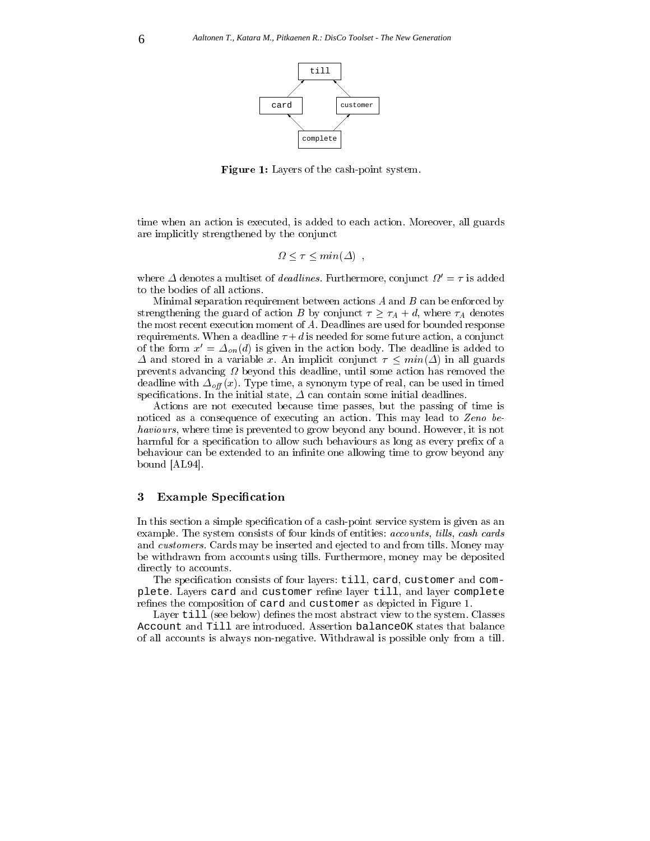

Figure 1: Layers of the cash-point system.

time when an action is executed, is added to each action. Moreover, all guards are implicitly strengthened by the conjunct

$$
\Omega \le \tau \le \min(\Delta)
$$

where  $\Delta$  denotes a multiset of *deadlines*. Furthermore, conjunct  $\Omega' = \tau$  is added to the bodies of all actions.

Minimal separation requirement between actions  $A$  and  $B$  can be enforced by strengthening the guard of action B by conjunct  $\tau \geq \tau_A + d$ , where  $\tau_A$  denotes the most recent execution moment of A. Deadlines are used for bounded response requirements. When a deadline  $\tau + d$  is needed for some future action, a conjunct of the form  $x' = \Delta_{on} (d)$  is given in the action body. The deadline is added to  $\Delta$  and stored in a variable x. An implicit conjunct  $\tau \leq min(\Delta)$  in all guards prevents advancing beyond this deadline, until some action has removed the deadline with  $\Delta_{\text{off}}(x)$ . Type time, a synonym type of real, can be used in timed specifications. In the initial state,  $\Delta$  can contain some initial deadlines.

Actions are not executed because time passes, but the passing of time is noticed as a consequence of executing an action. This may lead to Zeno behaviours, where time is prevented to grow beyond any bound. However, it is not harmful for a specification to allow such behaviours as long as every prefix of a behaviour can be extended to an infinite one allowing time to grow beyond any bound [AL94].

# 3 Example Specification

In this section a simple specification of a cash-point service system is given as an example. The system consists of four kinds of entities: *accounts*, *tills*, *cash cards* and customers. Cards may be inserted and ejected to and from tills. Money may be withdrawn from accounts using tills. Furthermore, money may be deposited directly to accounts.

The specification consists of four layers: till, card, customer and complete. Layers card and customer refine layer till, and layer complete refines the composition of card and customer as depicted in Figure 1.

Layer till (see below) defines the most abstract view to the system. Classes Account and Till are introduced. Assertion balanceOK states that balance of all accounts is always non-negative. Withdrawal is possible only from a till.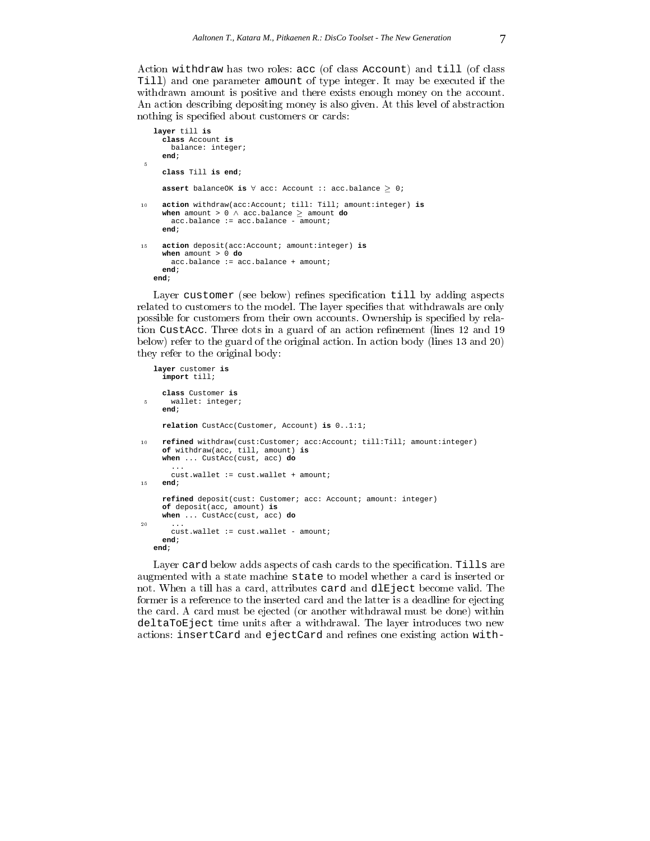Action withdraw has two roles: acc (of class Account) and till (of class Till) and one parameter amount of type integer. It may be executed if the withdrawn amount is positive and there exists enough money on the account. An action describing depositing money is also given. At this level of abstraction nothing is specified about customers or cards:

```
layer till is
     class Account is
      balance: integer;
     end; \overline{5}class Till is end;
    assert balanceOK is \forall acc: Account :: acc.balance > 0;
10 action withdraw(acc:Account; till: Till; amount:integer) is
    when amount > 0 \land acc.balance \ge amount do
      acc.balance := acc.balance - amount;
    end; 15 action deposit(acc:Account; amount:integer) is
    when amount > 0 do
      acc.balance := acc.balance + amount;
    end;
  end;
```
Layer customer (see below) refines specification till by adding aspects related to customers to the model. The layer specifies that withdrawals are only possible for customers from their own accounts. Ownership is specified by relation CustAcc. Three dots in a guard of an action refinement (lines 12 and 19 below) refer to the guard of the original action. In action body (lines 13 and 20) they refer to the original body:

```
layer customer is
    import till;
    class Customer is 5 wallet: integer;
    end;
    relation CustAcc(Customer, Account) is 0..1:1; 10 refined withdraw(cust:Customer; acc:Account; till:Till; amount:integer)
    of withdraw(acc, till, amount) is
    when ... CustAcc(cust, acc) do
       ...
cust.wallet := cust.wallet + amount; 15 end;
    refined deposit(cust: Customer; acc: Account; amount: integer)
    of deposit(acc, amount) is
     when ... CustAcc(cust, acc) do 20 ...
      cust.wallet := cust.wallet - amount;
    end;
  end;
```
Layer card below adds aspects of cash cards to the specification. Tills are augmented with a state machine state to model whether a card is inserted or not. When a till has a card, attributes card and dlEject become valid. The former is a reference to the inserted card and the latter is a deadline for ejecting the card. A card must be ejected (or another withdrawal must be done) within deltaToEject time units after a withdrawal. The layer introduces two new actions: insertCard and ejectCard and refines one existing action with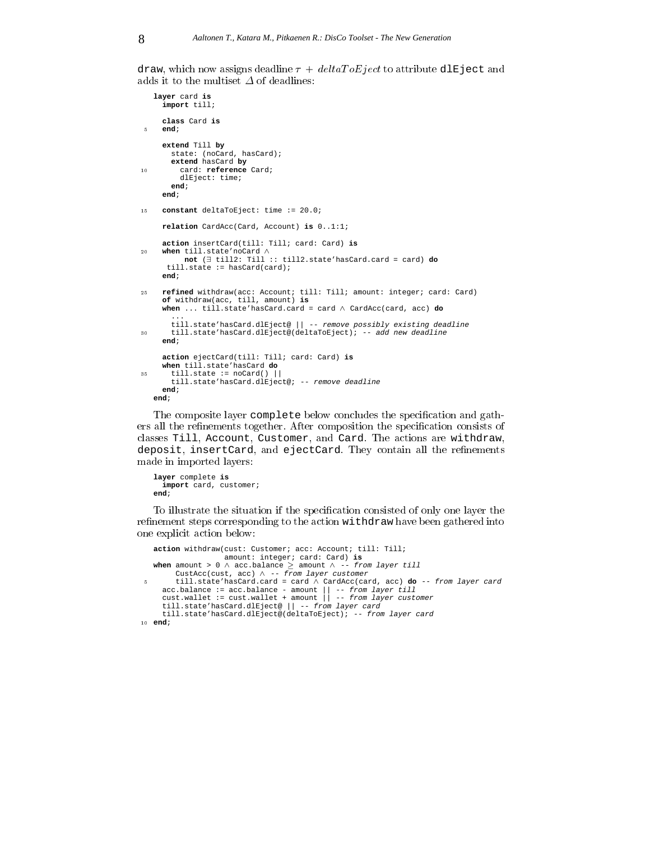draw, which now assigns deadline  $\tau + deltaToEject$  to attribute dlEject and adds it to the multiset  $\Delta$  of deadlines:

```
layer card is
    import till;
    class Card is 5 end;
    extend Till by
      state: (noCard, hasCard);
       extend hasCard by 10 card: reference Card;
        dlEject: time;
      end;
    end; 15 constant deltaToEject: time := 20.0;
    relation CardAcc(Card, Account) is 0..1:1;
    action insertCard(till: Till; card: Card) is 20 when till.state'noCard ^
         not (9 till2: Till :: till2.state'hasCard.card = card) do
     till.state := hasCard(card);
    end; 25 refined withdraw(acc: Account; till: Till; amount: integer; card: Card)
    of withdraw(acc, till, amount) is
    when ... till.state'hasCard.card = card ^ CardAcc(card, acc) do
       ...
      till.state'hasCard.dlEject@ || -- remove possibly existing deadline 30 till.state'hasCard.dlEject@(deltaToEject); -- add new deadline
    end;
    action ejectCard(till: Till; card: Card) is
    when till.state'hasCard do 35 till.state := noCard() ||
      till.state'hasCard.dlEject@; -- remove deadline
    end;
   end;
```
The composite layer complete below concludes the specification and gathers all the refinements together. After composition the specification consists of classes Till, Account, Customer, and Card. The actions are withdraw, deposit, insertCard, and ejectCard. They contain all the refinements made in imported layers:

```
layer complete is
 import card, customer;
end;
```
To illustrate the situation if the specification consisted of only one layer the refinement steps corresponding to the action withdraw have been gathered into one explicit action below:

```
action withdraw(cust: Customer; acc: Account; till: Till;
                     amount: integer; card: Card) is
   when amount > 0 \land acc.balance \ge amount \land -- from layer till
        CustAcc(cust, acc) \land -- from layer customer
5 till.state'hasCard.card = card ^ CardAcc(card, acc) do -- from layer card
     acc.balance := acc.balance - amount || -- from layer till
cust.wallet := cust.wallet + amount || -- from layer customer
     till.state'hasCard.dlEject@ || -- from layer card
     till.state'hasCard.dlEject@(deltaToEject); -- from layer card 10 end;
```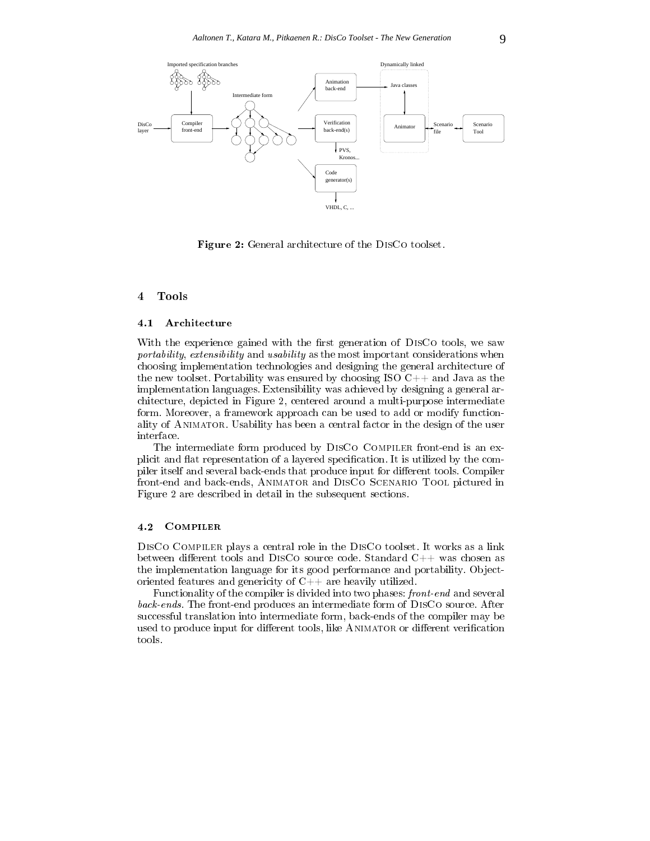

Figure 2: General architecture of the DisCo toolset.

#### $4.1$ Architecture

With the experience gained with the first generation of DISCo tools, we saw portability, extensibility and usability as the most important considerations when choosing implementation technologies and designing the general architecture of the new toolset. Portability was ensured by choosing ISO  $C_{++}$  and Java as the implementation languages. Extensibility was achieved by designing a general architecture, depicted in Figure 2, centered around a multi-purpose intermediate form. Moreover, a framework approach can be used to add or modify functionality of Animator. Usability has been a central factor in the design of the user interface.

The intermediate form produced by DISCO COMPILER front-end is an explicit and flat representation of a layered specification. It is utilized by the compiler itself and several back-ends that produce input for different tools. Compiler front-end and back-ends, Animator and DisCo Scenario Tool pictured in Figure 2 are described in detail in the subsequent sections.

## 4.2 Compiler

DisCo Compiler plays a central role in the DisCo toolset. It works as a link between different tools and DISCO source code. Standard  $C++$  was chosen as the implementation language for its good performance and portability. Objectoriented features and genericity of  $C++$  are heavily utilized.

Functionality of the compiler is divided into two phases: front-end and several back-ends. The front-end produces an intermediate form of DisCo source. After successful translation into intermediate form, back-ends of the compiler may be used to produce input for different tools, like ANIMATOR or different verification tools.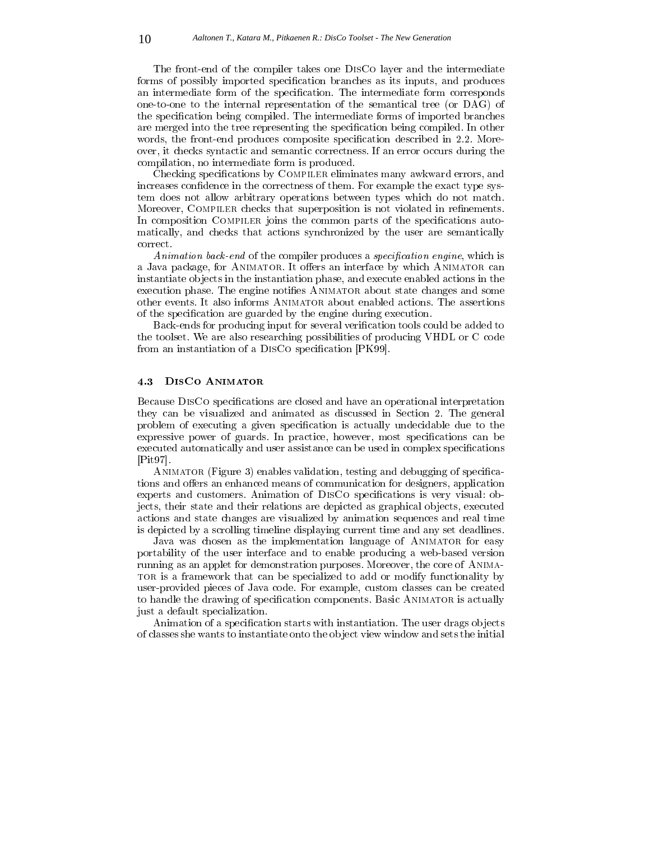The front-end of the compiler takes one DisCo layer and the intermediate forms of possibly imported specification branches as its inputs, and produces an intermediate form of the specification. The intermediate form corresponds one-to-one to the internal representation of the semantical tree (or DAG) of the specification being compiled. The intermediate forms of imported branches are merged into the tree representing the specification being compiled. In other words, the front-end produces composite specification described in 2.2. Moreover, it checks syntactic and semantic correctness. If an error occurs during the compilation, no intermediate form is produced.

Checking specifications by COMPILER eliminates many awkward errors, and increases confidence in the correctness of them. For example the exact type system does not allow arbitrary operations between types which do not match. Moreover, COMPILER checks that superposition is not violated in refinements. In composition COMPILER joins the common parts of the specifications automatically, and checks that actions synchronized by the user are semantically correct.

Animation back-end of the compiler produces a specification engine, which is a Java package, for ANIMATOR. It offers an interface by which ANIMATOR can instantiate ob jects in the instantiation phase, and execute enabled actions in the execution phase. The engine notifies ANIMATOR about state changes and some other events. It also informs Animator about enabled actions. The assertions of the specification are guarded by the engine during execution.

Back-ends for producing input for several verification tools could be added to the toolset. We are also researching possibilities of producing VHDL or C code from an instantiation of a DISCo specification  $[PK99]$ .

## 4.3 DisCo Animator

Because DISCo specifications are closed and have an operational interpretation they can be visualized and animated as discussed in Section 2. The general problem of executing a given specification is actually undecidable due to the expressive power of guards. In practice, however, most specifications can be executed automatically and user assistance can be used in complex specifications [Pit97].

ANIMATOR (Figure 3) enables validation, testing and debugging of specifications and offers an enhanced means of communication for designers, application experts and customers. Animation of DISCO specifications is very visual: objects, their state and their relations are depicted as graphical ob jects, executed actions and state changes are visualized by animation sequences and real time is depicted by a scrolling timeline displaying current time and any set deadlines.

Java was chosen as the implementation language of ANIMATOR for easy portability of the user interface and to enable producing a web-based version running as an applet for demonstration purposes. Moreover, the core of Anima-TOR is a framework that can be specialized to add or modify functionality by user-provided pieces of Java code. For example, custom classes can be created to handle the drawing of specification components. Basic ANIMATOR is actually just a default specialization.

Animation of a specification starts with instantiation. The user drags objects of classes she wants to instantiate onto the ob ject view window and sets the initial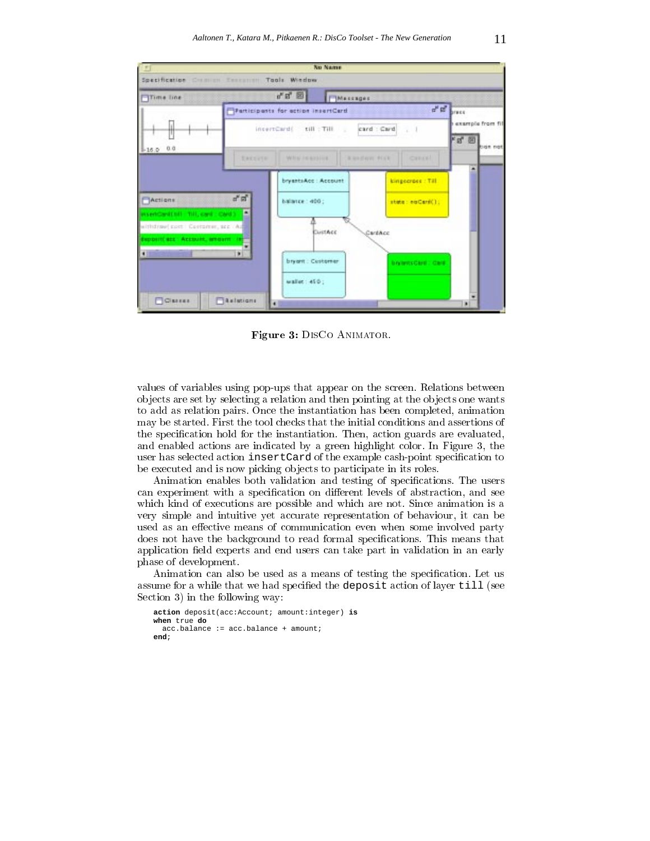

Figure 3: DisCo Animator.

values of variables using pop-ups that appear on the screen. Relations between ob jects are set by selecting a relation and then pointing at the ob jects one wants to add as relation pairs. Once the instantiation has been completed, animation may be started. First the tool checks that the initial conditions and assertions of the specification hold for the instantiation. Then, action guards are evaluated, and enabled actions are indicated by a green highlight color. In Figure  $3$ , the user has selected action insertCard of the example cash-point specification to be executed and is now picking ob jects to participate in its roles.

Animation enables both validation and testing of specifications. The users can experiment with a specification on different levels of abstraction, and see which kind of executions are possible and which are not. Since animation is a very simple and intuitive yet accurate representation of behaviour, it can be used as an effective means of communication even when some involved party does not have the background to read formal specifications. This means that application field experts and end users can take part in validation in an early phase of development.

Animation can also be used as a means of testing the specification. Let us assume for a while that we had specified the deposit action of layer till (see Section 3) in the following way:

```
action deposit(acc:Account; amount:integer) is
when true do
 acc.balance := acc.balance + amount;
end;
```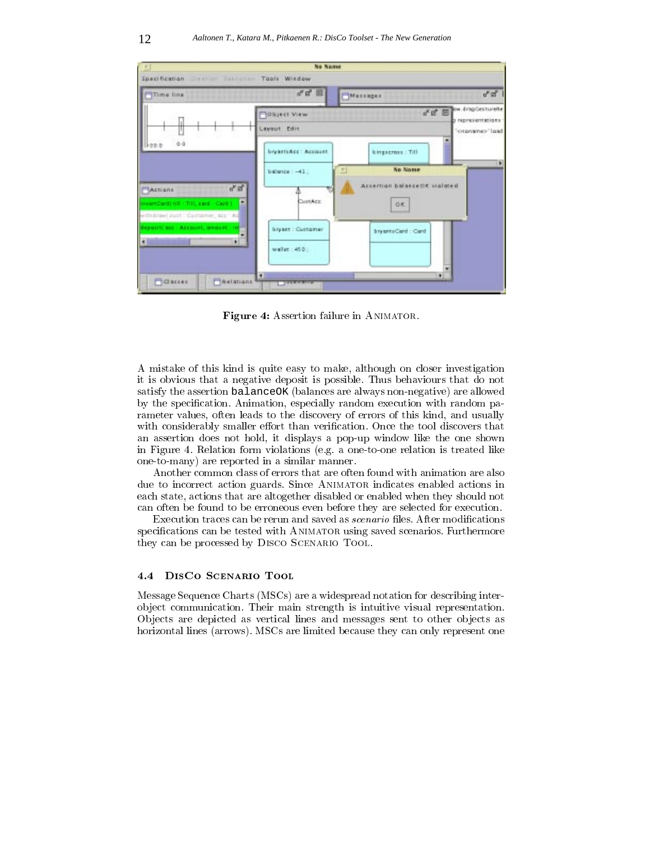

Figure 4: Assertion failure in ANIMATOR.

A mistake of this kind is quite easy to make, although on closer investigation it is obvious that a negative deposit is possible. Thus behaviours that do not satisfy the assertion balanceOK (balances are always non-negative) are allowed by the specification. Animation, especially random execution with random parameter values, often leads to the discovery of errors of this kind, and usually with considerably smaller effort than verification. Once the tool discovers that an assertion does not hold, it displays a pop-up window like the one shown in Figure 4. Relation form violations (e.g. a one-to-one relation is treated like one-to-many) are reported in a similar manner.

Another common class of errors that are often found with animation are also due to incorrect action guards. Since Animator indicates enabled actions in each state, actions that are altogether disabled or enabled when they should not can often be found to be erroneous even before they are selected for execution.

Execution traces can be rerun and saved as *scenario* files. After modifications specifications can be tested with ANIMATOR using saved scenarios. Furthermore they can be processed by Disco Scenario Tool.

#### $4.4$ DISCO SCENARIO TOOL

Message Sequence Charts (MSCs) are a widespread notation for describing interob ject communication. Their main strength isintuitive visual representation. Ob jects are depicted as vertical lines and messages sent to other ob jects as horizontal lines (arrows). MSCs are limited because they can only represent one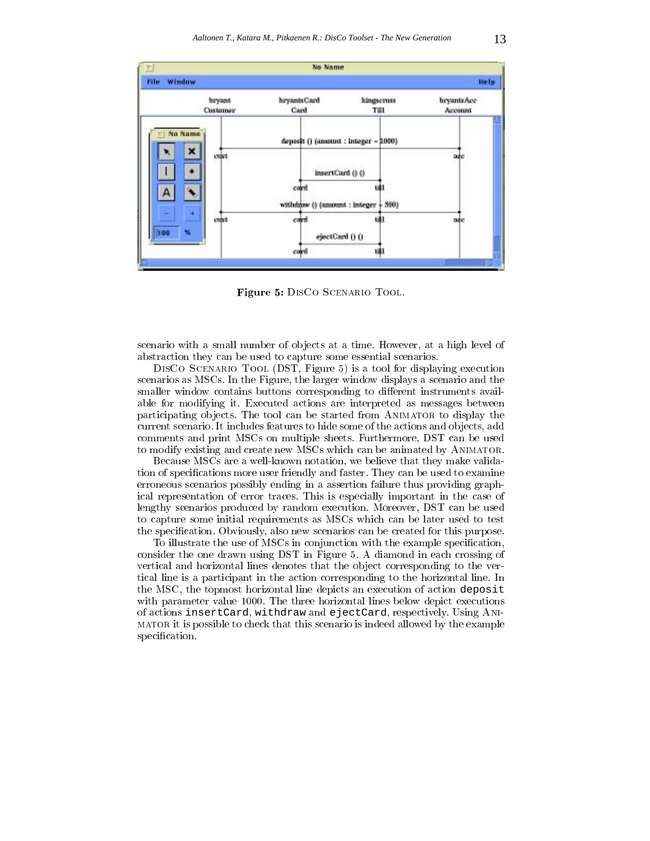

Figure 5: DisCo Scenario Tool.

scenario with a small number of ob jects at a time. However, at a high level of abstraction they can be used to capture some essential scenarios.

DisCo Scenario Tool (DST, Figure 5) is a tool for displaying execution scenarios as MSCs. In the Figure, the larger window displays a scenario and the smaller window contains buttons corresponding to different instruments available for modifying it. Executed actions are interpreted as messages between participating objects. The tool can be started from ANIMATOR to display the current scenario. It includes features to hide some of the actions and objects, add comments and print MSCs on multiple sheets. Furthermore, DST can be used to modify existing and create new MSCs which can be animated by Animator.

Because MSCs are a well-known notation, we believe that they make validation of specifications more user friendly and faster. They can be used to examine erroneous scenarios possibly ending in a assertion failure thus providing graphical representation of error traces. This is especially important in the case of lengthy scenarios produced by random execution. Moreover, DST can be used to capture some initial requirements as MSCs which can be later used to test the specification. Obviously, also new scenarios can be created for this purpose.

To illustrate the use of MSCs in conjunction with the example specification, consider the one drawn using DST in Figure 5. A diamond in each crossing of vertical and horizontal lines denotes that the object corresponding to the vertical line is a participant in the action corresponding to the horizontal line. In the MSC, the topmost horizontal line depicts an execution of action deposit with parameter value 1000. The three horizontal lines below depict executions of actions insertCard, withdraw and ejectCard, respectively. Using Animator it is possible to check that this scenario is indeed allowed by the example specification.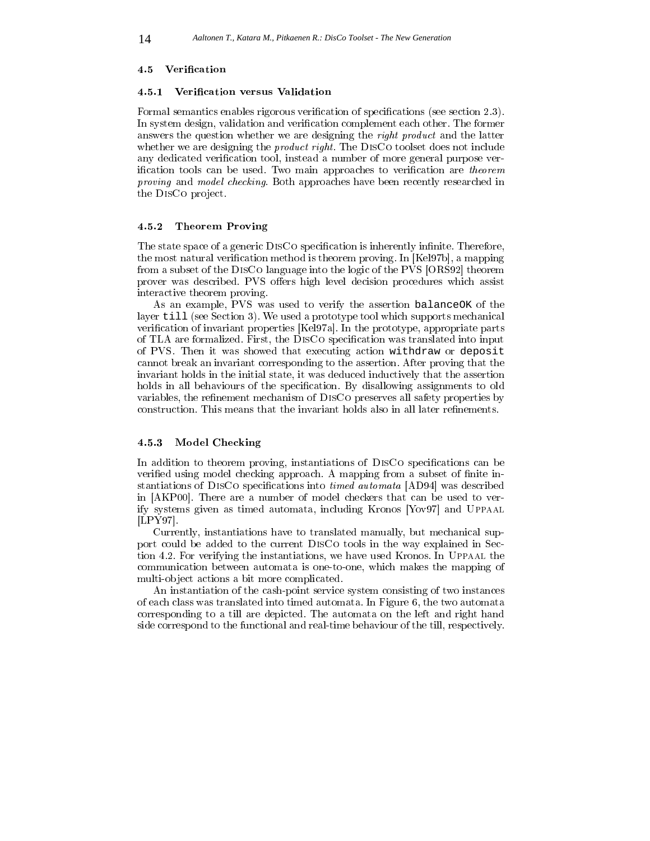#### 4.5 Verification

#### Verification versus Validation 4.5.1

Formal semantics enables rigorous verification of specifications (see section  $(2.3)$ ). In system design, validation and verification complement each other. The former answers the question whether we are designing the right product and the latter whether we are designing the *product right*. The DISCO toolset does not include any dedicated verification tool, instead a number of more general purpose verification tools can be used. Two main approaches to verification are *theorem* proving and model checking. Both approaches have been recently researched in the DISCo project.

## 4.5.2 Theorem Proving

The state space of a generic DISCO specification is inherently infinite. Therefore, the most natural verification method is theorem proving. In [Kel97b], a mapping from a subset of the DisCo language into the logic of the PVS [ORS92] theorem prover was described. PVS offers high level decision procedures which assist interactive theorem proving.

As an example, PVS was used to verify the assertion balanceOK of the layer till (see Section 3). We used a prototype tool which supports mechanical verification of invariant properties  $[Kel97a]$ . In the prototype, appropriate parts of TLA are formalized. First, the DISCo specification was translated into input of PVS. Then it was showed that executing action withdraw or deposit cannot break an invariant corresponding to the assertion. After proving that the invariant holds in the initial state, it was deduced inductively that the assertion holds in all behaviours of the specification. By disallowing assignments to old variables, the refinement mechanism of DISCO preserves all safety properties by construction. This means that the invariant holds also in all later refinements.

## 4.5.3 Model Checking

In addition to theorem proving, instantiations of DISCo specifications can be verified using model checking approach. A mapping from a subset of finite instantiations of DISCo specifications into *timed automata* [AD94] was described in [AKP00]. There are a number of model checkers that can be used to verify systems given as timed automata, including Kronos [Yov97] and Uppaal [LPY97].

Currently, instantiations have to translated manually, but mechanical support could be added to the current DisCo tools in the way explained in Section 4.2. For verifying the instantiations, we have used Kronos. In Uppaal the communication between automata is one-to-one, which makes the mapping of multi-object actions a bit more complicated.

An instantiation of the cash-point service system consisting of two instances of each class was translated into timed automata. In Figure 6, the two automata corresponding to a till are depicted. The automata on the left and right hand side correspond to the functional and real-time behaviour of the till, respectively.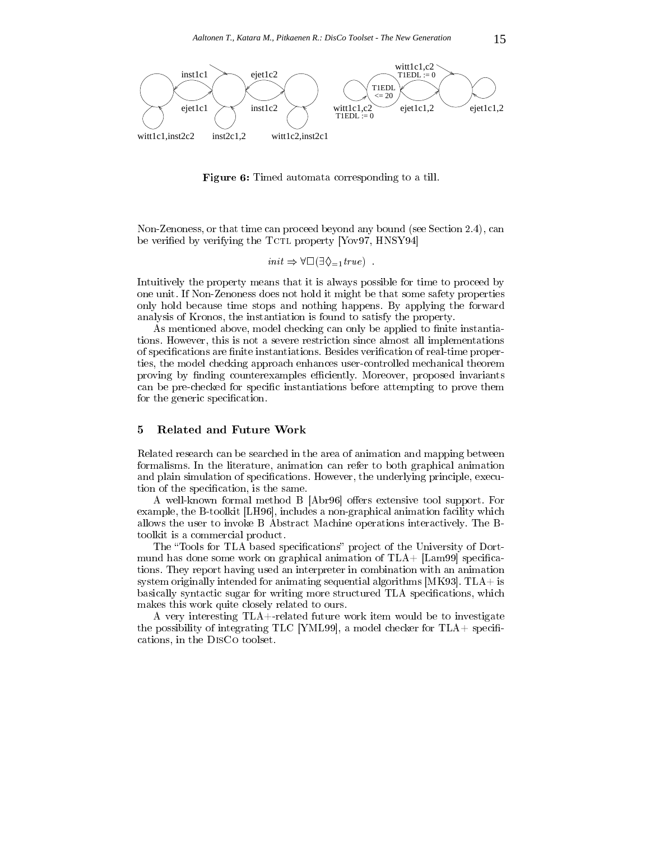

Figure 6: Timed automata corresponding to a till.

Non-Zenoness, or that time can proceed beyond any bound (see Section 2.4), can be verified by verifying the  $TctL$  property [Yov97, HNSY94]

$$
init \Rightarrow \forall \Box (\exists \Diamond_{=1} true)
$$
.

Intuitively the property means that it is always possible for time to proceed by one unit. If Non-Zenoness does not hold it might be that some safety properties only hold because time stops and nothing happens. By applying the forward analysis of Kronos, the instantiation is found to satisfy the property.

As mentioned above, model checking can only be applied to finite instantiations. However, this is not a severe restriction since almost all implementations of specifications are finite instantiations. Besides verification of real-time properties, the model checking approach enhances user-controlled mechanical theorem proving by finding counterexamples efficiently. Moreover, proposed invariants can be pre-checked for specific instantiations before attempting to prove them for the generic specification.

### <sup>5</sup> Related and Future Work

Related research can be searched in the area of animation and mapping between formalisms. In the literature, animation can refer to both graphical animation and plain simulation of specifications. However, the underlying principle, execution of the specification, is the same.

A well-known formal method B [Abr96] offers extensive tool support. For example, the B-toolkit [LH96], includes a non-graphical animation facility which allows the user to invoke B Abstract Machine operations interactively. The Btoolkit is a commercial product.

The "Tools for TLA based specifications" project of the University of Dortmund has done some work on graphical animation of  $TLA + [Lam99]$  specifications. They report having used an interpreter in combination with an animation system originally intended for animating sequential algorithms  $[MK93]$ . TLA $+$  is basically syntactic sugar for writing more structured TLA specifications, which makes this work quite closely related to ours.

A very interesting TLA+-related future work item would be to investigate the possibility of integrating TLC [YML99], a model checker for  $TLA +$  specifications, in the DisCo toolset.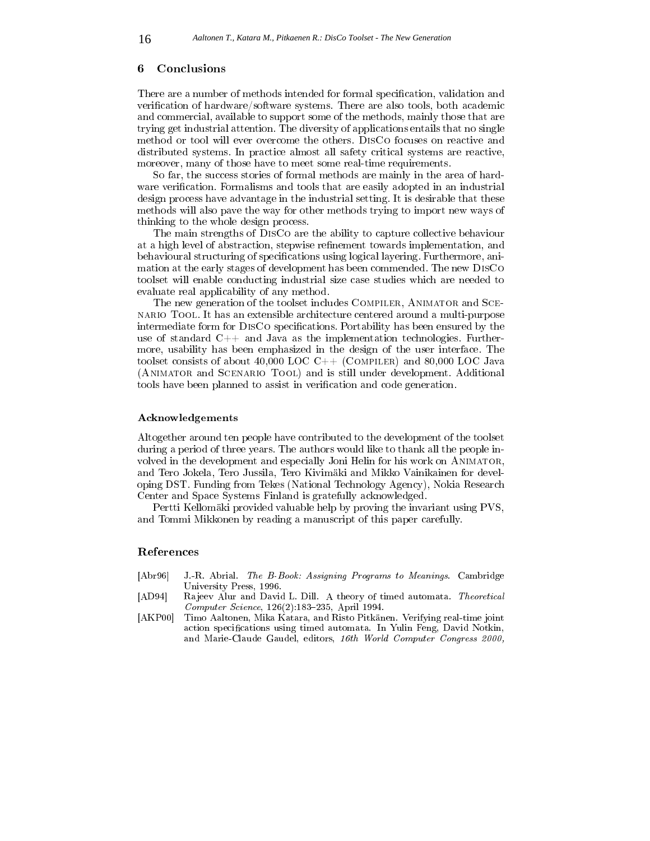#### 6 **Conclusions**

There are a number of methods intended for formal specification, validation and verification of hardware/software systems. There are also tools, both academic and commercial, available to support some of the methods, mainly those that are trying get industrial attention. The diversity of applications entails that no single method or tool will ever overcome the others. DisCo focuses on reactive and distributed systems. In practice almost all safety critical systems are reactive, moreover, many of those have to meet some real-time requirements.

So far, the success stories of formal methods are mainly in the area of hard ware verification. Formalisms and tools that are easily adopted in an industrial design process have advantage in the industrial setting. It is desirable that these methods will also pave the way for other methods trying to import new ways of thinking to the whole design process.

The main strengths of DisCo are the ability to capture collective behaviour at a high level of abstraction, stepwise refinement towards implementation, and behavioural structuring of specifications using logical layering. Furthermore, animation at the early stages of development has been commended. The new DisCo toolset will enable conducting industrial size case studies which are needed to evaluate real applicability of any method.

The new generation of the toolset includes COMPILER, ANIMATOR and SCEnario Tool. It has an extensible architecture centered around a multi-purpose intermediate form for DISCO specifications. Portability has been ensured by the use of standard  $C++$  and Java as the implementation technologies. Furthermore, usability has been emphasized in the design of the user interface. The toolset consists of about 40,000 LOC  $C++$  (COMPILER) and 80,000 LOC Java (Animator and Scenario Tool) and is still under development. Additional tools have been planned to assist in verification and code generation.

#### Acknowledgements

Altogether around ten people have contributed to the development of the toolset during a period of three years. The authors would like to thank all the people in volved in the development and especially Joni Helin for his work on Animator, and Tero Jokela, Tero Jussila, Tero Kivimäki and Mikko Vainikainen for developing DST. Funding from Tekes (National Technology Agency), Nokia Research Center and Space Systems Finland is gratefully acknowledged.

Pertti Kellomäki provided valuable help by proving the invariant using PVS, and Tommi Mikkonen by reading a manuscript of this paper carefully.

## References

- [Abr96] J.-R. Abrial. The B-Book: Assigning Programs to Meanings. Cambridge University Press, 1996. University Press, 1996.
- [AD94] Ra jeev Alur and David L. Dill. A theory of timed automata. Theoretical  $Computer\, Science, 126(2):183-235, April 1994.$
- [AKP00] Timo Aaltonen, Mika Katara, and Risto Pitkänen. Verifying real-time joint action specifications using timed automata. In Yulin Feng, David Notkin, and Marie-Claude Gaudel, editors, 16th World Computer Congress 2000,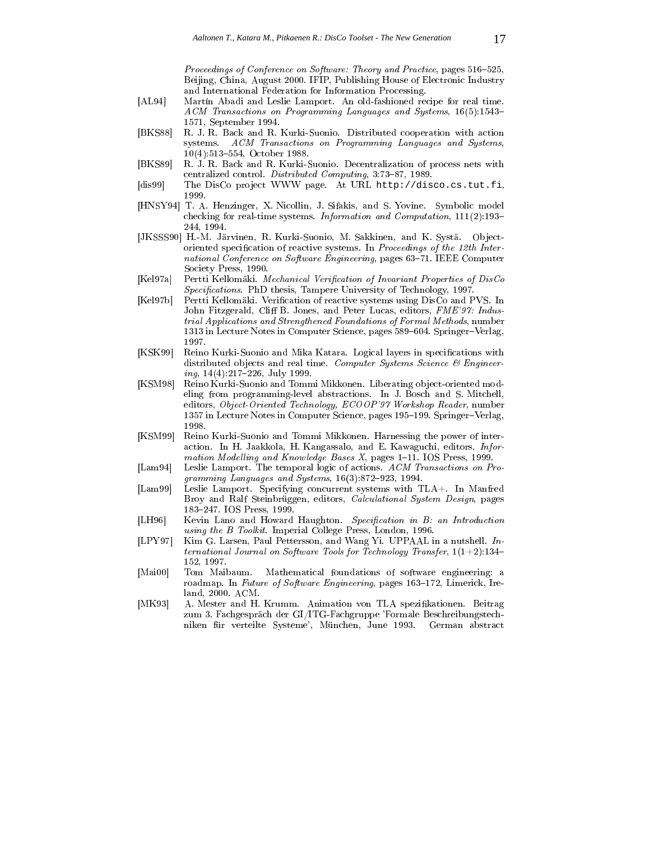Proceedings of Conference on Software: Theory and Practice, pages 516-525, Beijing, China, August 2000. IFIP, Publishing House of Electronic Industry and International Federation for Information Processing.

- [AL94] Martín Abadi and Leslie Lamport. An old-fashioned recipe for real time. ACM Transactions on Programming Languages and Systems, 16(5):1543 1571, September 1994.
- [BKS88] R. J. R. Back and R. Kurki-Suonio. Distributed cooperation with action systems. ACM Transactions on Programming Languages and Systems,  $10(4):513-554$ , October 1988.
- [BKS89] R. J. R. Back and R. Kurki-Suonio. Decentralization of process nets with centralized control. Distributed Computing, 3:73-87, 1989.
- [dis99] The DisCo project WWW page. At URL http://disco.cs.tut.fi, 1999.
- [HNSY94] T. A. Henzinger, X. Nicollin, J. Sifakis, and S. Yovine. Symbolic model checking for real-time systems. Information and Computation, 111(2):193 244, 1994.
- [JKSSS90] H.-M. Järvinen, R. Kurki-Suonio, M. Sakkinen, and K. Systä. Objectoriented specification of reactive systems. In *Proceedings of the 12th Inter*national Conference on Software Engineering, pages 63-71. IEEE Computer Society Press, 1990.
- [Kel97a] Pertti Kellomäki. Mechanical Verification of Invariant Properties of DisCo Specifications. PhD thesis, Tampere University of Technology, 1997.
- [Kel97b] Pertti Kellomäki. Verification of reactive systems using DisCo and PVS. In John Fitzgerald, Cliff B. Jones, and Peter Lucas, editors, FME'97: Industrial Applications and Strengthened Foundations of Formal Methods, number 1313 in Lecture Notes in Computer Science, pages 589-604. Springer-Verlag, 1997
- [KSK99] Reino Kurki-Suonio and Mika Katara. Logical layers in specifications with distributed objects and real time. Computer Systems Science  $\mathcal{B}$  Engineer $ing, 14(4):217-226, July 1999.$
- [KSM98] Reino Kurki-Suonio and Tommi Mikkonen. Liberating ob ject-oriented modeling from programming-level abstractions. In J. Bosch and S. Mitchell, editors, Object-Oriented Technology, ECOOP'97 Workshop Reader, number 1357 in Lecture Notes in Computer Science, pages 195-199. Springer-Verlag, 1998.
- [KSM99] Reino Kurki-Suonio and Tommi Mikkonen. Harnessing the power of interaction. In H. Jaakkola, H. Kangassalo, and E. Kawaguchi, editors, Information Modelling and Knowledge Bases  $X$ , pages 1-11. IOS Press, 1999.
- [Lam94] Leslie Lamport. The temporal logic of actions. ACM Transactions on Pro gramming Languages and Systems,  $16(3):872-923$ , 1994.
- [Lam99] Leslie Lamport. Specifying concurrent systems with TLA+. In Manfred Broy and Ralf Steinbrüggen, editors, Calculational System Design, pages 183247. IOS Press, 1999.
- [LH96] Kevin Lano and Howard Haughton. Specification in B: an Introduction using the B Toolkit. Imperial College Press, London, 1996.
- [LPY97] Kim G. Larsen, Paul Pettersson, and Wang Yi. UPPAAL in a nutshell. International Journal on Software Tools for Technology Transfer,  $1(1+2):134-$ 152, 1997.
- [Mai00] Tom Maibaum. Mathematical foundations of software engineering: a roadmap. In Future of Software Engineering, pages 163-172, Limerick, Ireland, 2000. ACM.
- [MK93] A. Mester and H. Krumm. Animation von TLA spezikationen. Beitrag zum 3. Fachgespräch der GI/ITG-Fachgruppe 'Formale Beschreibungstechniken für verteilte Systeme', München, June 1993. German abstract